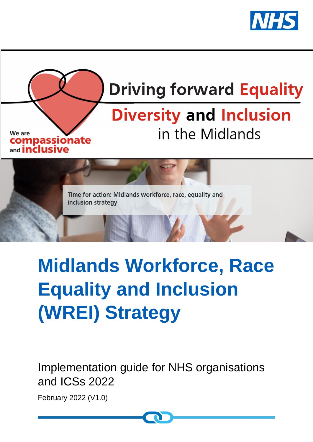



# **Midlands Workforce, Race Equality and Inclusion (WREI) Strategy**

Implementation guide for NHS organisations and ICSs 2022

February 2022 (V1.0)

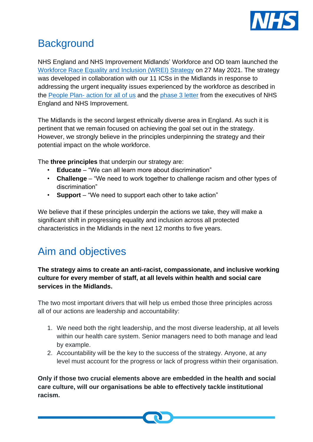

# **Background**

NHS England and NHS Improvement Midlands' Workforce and OD team launched the [Workforce Race Equality and Inclusion \(WREI\) Strategy](https://www.england.nhs.uk/midlands/wrei/) on 27 May 2021. The strategy was developed in collaboration with our 11 ICSs in the Midlands in response to addressing the urgent inequality issues experienced by the workforce as described in the People Plan- [action for all of us](https://www.england.nhs.uk/publication/we-are-the-nhs-people-plan-for-2020-21-action-for-us-all/) and the [phase 3 letter](https://www.england.nhs.uk/coronavirus/wp-content/uploads/sites/52/2020/07/20200731-Phase-3-letter-final-1.pdf) from the executives of NHS England and NHS Improvement.

The Midlands is the second largest ethnically diverse area in England. As such it is pertinent that we remain focused on achieving the goal set out in the strategy. However, we strongly believe in the principles underpinning the strategy and their potential impact on the whole workforce.

The **three principles** that underpin our strategy are:

- **Educate** "We can all learn more about discrimination"
- **Challenge** "We need to work together to challenge racism and other types of discrimination"
- **Support** "We need to support each other to take action"

We believe that if these principles underpin the actions we take, they will make a significant shift in progressing equality and inclusion across all protected characteristics in the Midlands in the next 12 months to five years.

# Aim and objectives

### **The strategy aims to create an anti-racist, compassionate, and inclusive working culture for every member of staff, at all levels within health and social care services in the Midlands.**

The two most important drivers that will help us embed those three principles across all of our actions are leadership and accountability:

- 1. We need both the right leadership, and the most diverse leadership, at all levels within our health care system. Senior managers need to both manage and lead by example.
- 2. Accountability will be the key to the success of the strategy. Anyone, at any level must account for the progress or lack of progress within their organisation.

**Only if those two crucial elements above are embedded in the health and social care culture, will our organisations be able to effectively tackle institutional racism.** 

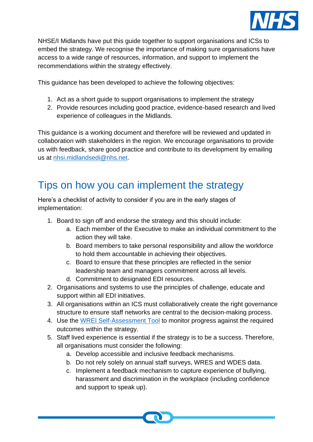

NHSE/I Midlands have put this guide together to support organisations and ICSs to embed the strategy. We recognise the importance of making sure organisations have access to a wide range of resources, information, and support to implement the recommendations within the strategy effectively.

This guidance has been developed to achieve the following objectives:

- 1. Act as a short guide to support organisations to implement the strategy
- 2. Provide resources including good practice, evidence-based research and lived experience of colleagues in the Midlands.

This guidance is a working document and therefore will be reviewed and updated in collaboration with stakeholders in the region. We encourage organisations to provide us with feedback, share good practice and contribute to its development by emailing us at [nhsi.midlandsedi@nhs.net.](mailto:nhsi.midlandsedi@nhs.net)

# Tips on how you can implement the strategy

Here's a checklist of activity to consider if you are in the early stages of implementation:

- 1. Board to sign off and endorse the strategy and this should include:
	- a. Each member of the Executive to make an individual commitment to the action they will take.
	- b. Board members to take personal responsibility and allow the workforce to hold them accountable in achieving their objectives.
	- c. Board to ensure that these principles are reflected in the senior leadership team and managers commitment across all levels.
	- d. Commitment to designated EDI resources.
- 2. Organisations and systems to use the principles of challenge, educate and support within all EDI initiatives.
- 3. All organisations within an ICS must collaboratively create the right governance structure to ensure staff networks are central to the decision-making process.
- 4. Use the [WREI Self-Assessment Tool](https://www.england.nhs.uk/midlands/wp-content/uploads/sites/46/2022/02/WREI-System-self-assessment-tool-V2-120821.xlsx) to monitor progress against the required outcomes within the strategy.
- 5. Staff lived experience is essential if the strategy is to be a success. Therefore, all organisations must consider the following:
	- a. Develop accessible and inclusive feedback mechanisms.
	- b. Do not rely solely on annual staff surveys, WRES and WDES data.
	- c. Implement a feedback mechanism to capture experience of bullying, harassment and discrimination in the workplace (including confidence and support to speak up).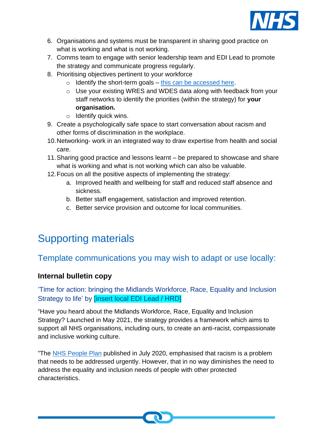

- 6. Organisations and systems must be transparent in sharing good practice on what is working and what is not working.
- 7. Comms team to engage with senior leadership team and EDI Lead to promote the strategy and communicate progress regularly.
- 8. Prioritising objectives pertinent to your workforce
	- $\circ$  Identify the short-term goals [this can be accessed here.](https://www.england.nhs.uk/midlands/wp-content/uploads/sites/46/2022/02/WREI-System-self-assessment-tool-V2-120821.xlsx)
	- o Use your existing WRES and WDES data along with feedback from your staff networks to identify the priorities (within the strategy) for **your organisation.**
	- o Identify quick wins.
- 9. Create a psychologically safe space to start conversation about racism and other forms of discrimination in the workplace.
- 10.Networking- work in an integrated way to draw expertise from health and social care.
- 11.Sharing good practice and lessons learnt be prepared to showcase and share what is working and what is not working which can also be valuable.
- 12.Focus on all the positive aspects of implementing the strategy:
	- a. Improved health and wellbeing for staff and reduced staff absence and sickness.
	- b. Better staff engagement, satisfaction and improved retention.
	- c. Better service provision and outcome for local communities.

# Supporting materials

# Template communications you may wish to adapt or use locally:

## **Internal bulletin copy**

'Time for action: bringing the Midlands Workforce, Race, Equality and Inclusion Strategy to life' by **[insert local EDI Lead / HRD]** 

"Have you heard about the Midlands Workforce, Race, Equality and Inclusion Strategy? Launched in May 2021, the strategy provides a framework which aims to support all NHS organisations, including ours, to create an anti-racist, compassionate and inclusive working culture.

"The [NHS People Plan](https://www.england.nhs.uk/publication/we-are-the-nhs-people-plan-for-2020-21-action-for-us-all/) published in July 2020, emphasised that racism is a problem that needs to be addressed urgently. However, that in no way diminishes the need to address the equality and inclusion needs of people with other protected characteristics.

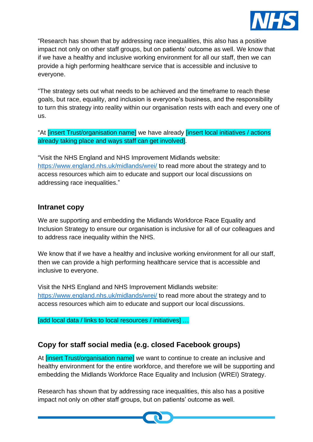

"Research has shown that by addressing race inequalities, this also has a positive impact not only on other staff groups, but on patients' outcome as well. We know that if we have a healthy and inclusive working environment for all our staff, then we can provide a high performing healthcare service that is accessible and inclusive to everyone.

"The strategy sets out what needs to be achieved and the timeframe to reach these goals, but race, equality, and inclusion is everyone's business, and the responsibility to turn this strategy into reality within our organisation rests with each and every one of us.

"At [insert Trust/organisation name] we have already [insert local initiatives / actions already taking place and ways staff can get involved].

"Visit the NHS England and NHS Improvement Midlands website: <https://www.england.nhs.uk/midlands/wrei/> to read more about the strategy and to access resources which aim to educate and support our local discussions on addressing race inequalities."

### **Intranet copy**

We are supporting and embedding the Midlands Workforce Race Equality and Inclusion Strategy to ensure our organisation is inclusive for all of our colleagues and to address race inequality within the NHS.

We know that if we have a healthy and inclusive working environment for all our staff, then we can provide a high performing healthcare service that is accessible and inclusive to everyone.

Visit the NHS England and NHS Improvement Midlands website: <https://www.england.nhs.uk/midlands/wrei/> to read more about the strategy and to access resources which aim to educate and support our local discussions.

[add local data / links to local resources / initiatives] ...

# **Copy for staff social media (e.g. closed Facebook groups)**

At **[insert Trust/organisation name]** we want to continue to create an inclusive and healthy environment for the entire workforce, and therefore we will be supporting and embedding the Midlands Workforce Race Equality and Inclusion (WREI) Strategy.

Research has shown that by addressing race inequalities, this also has a positive impact not only on other staff groups, but on patients' outcome as well.

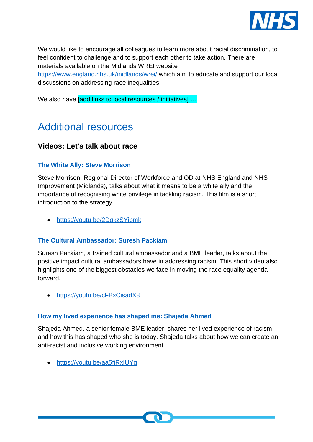

We would like to encourage all colleagues to learn more about racial discrimination, to feel confident to challenge and to support each other to take action. There are materials available on the Midlands WREI website <https://www.england.nhs.uk/midlands/wrei/> which aim to educate and support our local

discussions on addressing race inequalities.

We also have *[add links to local resources / initiatives]* ...

# Additional resources

### **Videos: Let's talk about race**

#### **The White Ally: Steve Morrison**

Steve Morrison, Regional Director of Workforce and OD at NHS England and NHS Improvement (Midlands), talks about what it means to be a white ally and the importance of recognising white privilege in tackling racism. This film is a short introduction to the strategy.

• <https://youtu.be/2DqkzSYjbmk>

#### **The Cultural Ambassador: Suresh Packiam**

Suresh Packiam, a trained cultural ambassador and a BME leader, talks about the positive impact cultural ambassadors have in addressing racism. This short video also highlights one of the biggest obstacles we face in moving the race equality agenda forward.

• <https://youtu.be/cFBxCisadX8>

#### **How my lived experience has shaped me: Shajeda Ahmed**

Shajeda Ahmed, a senior female BME leader, shares her lived experience of racism and how this has shaped who she is today. Shajeda talks about how we can create an anti-racist and inclusive working environment.

• <https://youtu.be/aa5fiRxIUYg>

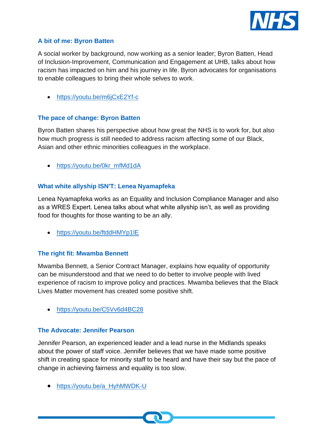

#### **A bit of me: Byron Batten**

A social worker by background, now working as a senior leader; Byron Batten, Head of Inclusion-Improvement, Communication and Engagement at UHB, talks about how racism has impacted on him and his journey in life. Byron advocates for organisations to enable colleagues to bring their whole selves to work.

• <https://youtu.be/m6jCxE2Yf-c>

#### **The pace of change: Byron Batten**

Byron Batten shares his perspective about how great the NHS is to work for, but also how much progress is still needed to address racism affecting some of our Black, Asian and other ethnic minorities colleagues in the workplace.

• [https://youtu.be/0kr\\_mfMd1dA](https://youtu.be/0kr_mfMd1dA)

#### **What white allyship ISN'T: Lenea Nyamapfeka**

Lenea Nyamapfeka works as an Equality and Inclusion Compliance Manager and also as a WRES Expert. Lenea talks about what white allyship isn't, as well as providing food for thoughts for those wanting to be an ally.

• https://youtu.be/ftddHMYp1IE

#### **The right fit: Mwamba Bennett**

Mwamba Bennett, a Senior Contract Manager, explains how equality of opportunity can be misunderstood and that we need to do better to involve people with lived experience of racism to improve policy and practices. Mwamba believes that the Black Lives Matter movement has created some positive shift.

• <https://youtu.be/C5Vv6d4BC28>

#### **The Advocate: Jennifer Pearson**

Jennifer Pearson, an experienced leader and a lead nurse in the Midlands speaks about the power of staff voice. Jennifer believes that we have made some positive shift in creating space for minority staff to be heard and have their say but the pace of change in achieving fairness and equality is too slow.

• [https://youtu.be/a\\_HyhMWDK-U](https://youtu.be/a_HyhMWDK-U)